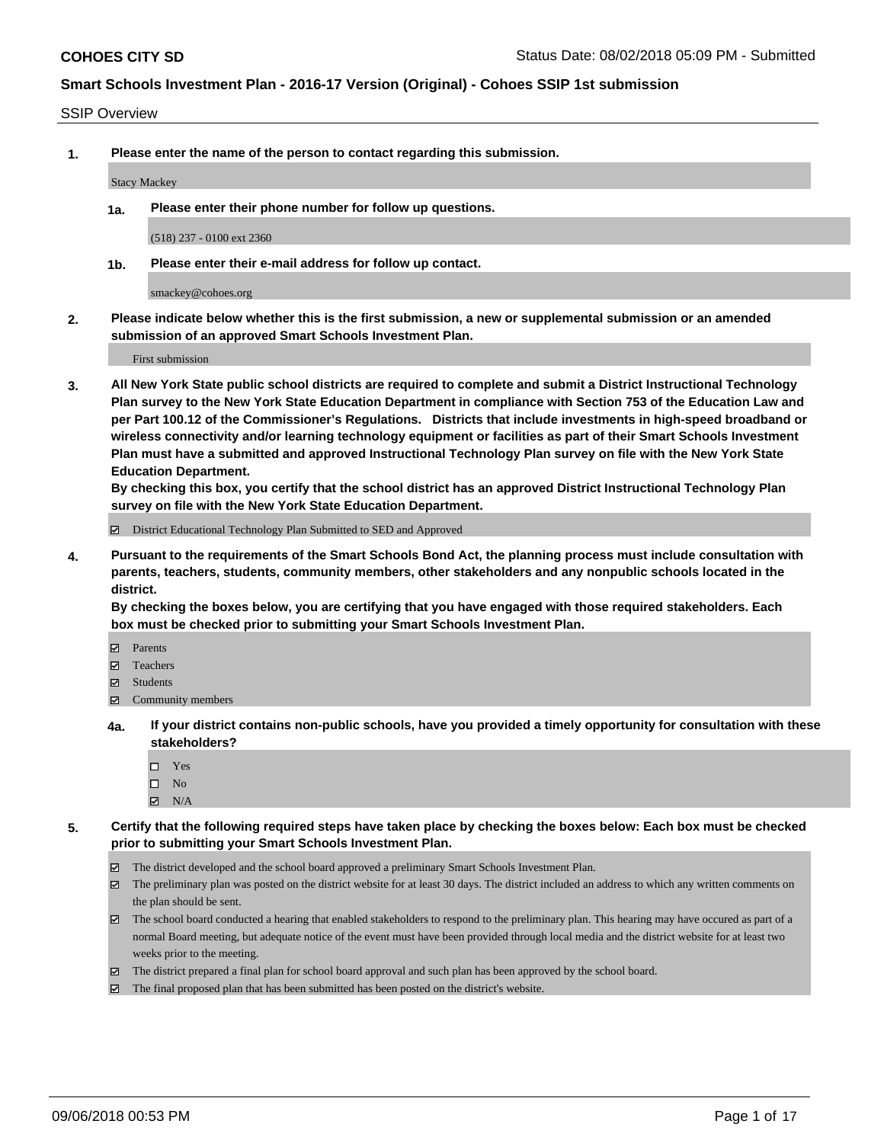#### SSIP Overview

**1. Please enter the name of the person to contact regarding this submission.**

Stacy Mackey

**1a. Please enter their phone number for follow up questions.**

(518) 237 - 0100 ext 2360

**1b. Please enter their e-mail address for follow up contact.**

smackey@cohoes.org

**2. Please indicate below whether this is the first submission, a new or supplemental submission or an amended submission of an approved Smart Schools Investment Plan.**

First submission

**3. All New York State public school districts are required to complete and submit a District Instructional Technology Plan survey to the New York State Education Department in compliance with Section 753 of the Education Law and per Part 100.12 of the Commissioner's Regulations. Districts that include investments in high-speed broadband or wireless connectivity and/or learning technology equipment or facilities as part of their Smart Schools Investment Plan must have a submitted and approved Instructional Technology Plan survey on file with the New York State Education Department.** 

**By checking this box, you certify that the school district has an approved District Instructional Technology Plan survey on file with the New York State Education Department.**

District Educational Technology Plan Submitted to SED and Approved

**4. Pursuant to the requirements of the Smart Schools Bond Act, the planning process must include consultation with parents, teachers, students, community members, other stakeholders and any nonpublic schools located in the district.** 

**By checking the boxes below, you are certifying that you have engaged with those required stakeholders. Each box must be checked prior to submitting your Smart Schools Investment Plan.**

- **Parents**
- Teachers
- **☑** Students
- **☑** Community members
- **4a. If your district contains non-public schools, have you provided a timely opportunity for consultation with these stakeholders?**
	- □ Yes
	- $\square$  No
	- $\boxtimes$  N/A
- **5. Certify that the following required steps have taken place by checking the boxes below: Each box must be checked prior to submitting your Smart Schools Investment Plan.**
	- The district developed and the school board approved a preliminary Smart Schools Investment Plan.
	- $\boxtimes$  The preliminary plan was posted on the district website for at least 30 days. The district included an address to which any written comments on the plan should be sent.
	- The school board conducted a hearing that enabled stakeholders to respond to the preliminary plan. This hearing may have occured as part of a normal Board meeting, but adequate notice of the event must have been provided through local media and the district website for at least two weeks prior to the meeting.
	- The district prepared a final plan for school board approval and such plan has been approved by the school board.
	- The final proposed plan that has been submitted has been posted on the district's website.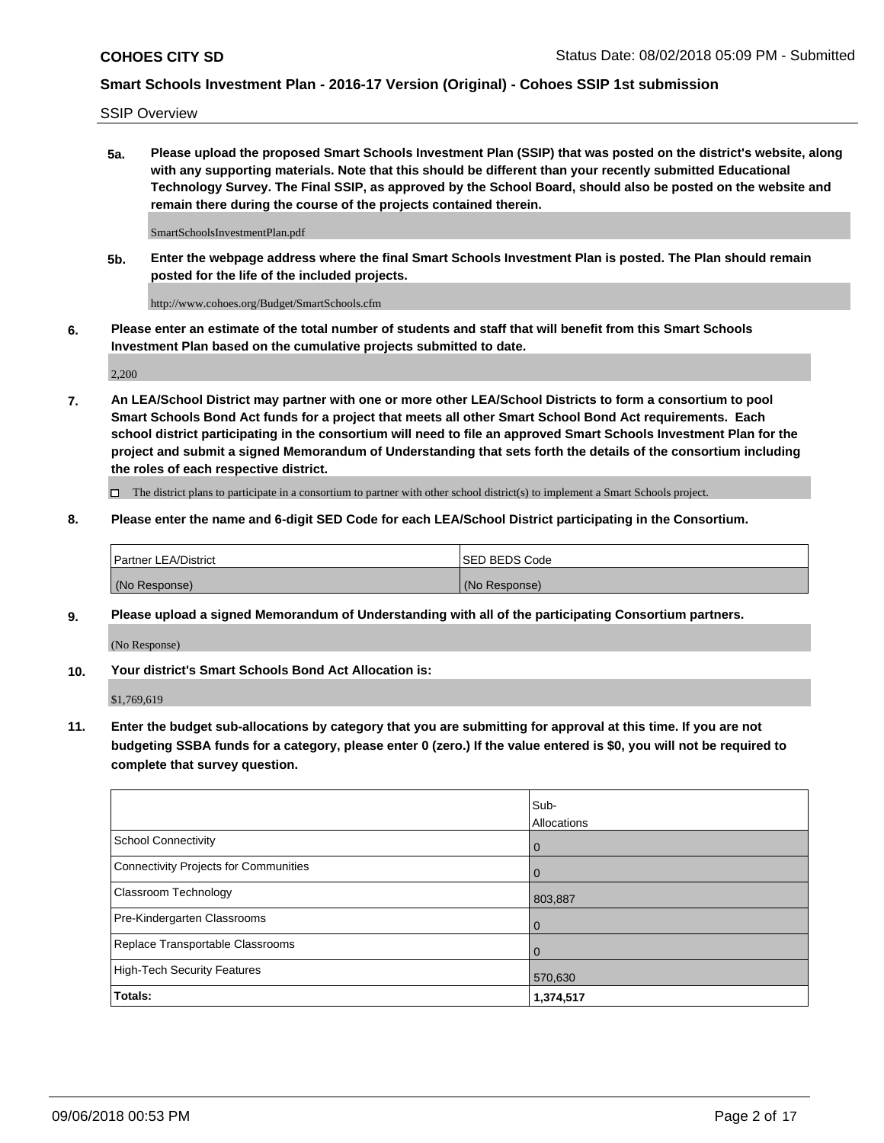SSIP Overview

**5a. Please upload the proposed Smart Schools Investment Plan (SSIP) that was posted on the district's website, along with any supporting materials. Note that this should be different than your recently submitted Educational Technology Survey. The Final SSIP, as approved by the School Board, should also be posted on the website and remain there during the course of the projects contained therein.**

SmartSchoolsInvestmentPlan.pdf

**5b. Enter the webpage address where the final Smart Schools Investment Plan is posted. The Plan should remain posted for the life of the included projects.**

http://www.cohoes.org/Budget/SmartSchools.cfm

**6. Please enter an estimate of the total number of students and staff that will benefit from this Smart Schools Investment Plan based on the cumulative projects submitted to date.**

2,200

**7. An LEA/School District may partner with one or more other LEA/School Districts to form a consortium to pool Smart Schools Bond Act funds for a project that meets all other Smart School Bond Act requirements. Each school district participating in the consortium will need to file an approved Smart Schools Investment Plan for the project and submit a signed Memorandum of Understanding that sets forth the details of the consortium including the roles of each respective district.**

 $\Box$  The district plans to participate in a consortium to partner with other school district(s) to implement a Smart Schools project.

#### **8. Please enter the name and 6-digit SED Code for each LEA/School District participating in the Consortium.**

| <b>Partner LEA/District</b> | ISED BEDS Code |
|-----------------------------|----------------|
| (No Response)               | (No Response)  |

#### **9. Please upload a signed Memorandum of Understanding with all of the participating Consortium partners.**

(No Response)

**10. Your district's Smart Schools Bond Act Allocation is:**

\$1,769,619

**11. Enter the budget sub-allocations by category that you are submitting for approval at this time. If you are not budgeting SSBA funds for a category, please enter 0 (zero.) If the value entered is \$0, you will not be required to complete that survey question.**

|                                       | Sub-<br>Allocations |
|---------------------------------------|---------------------|
| School Connectivity                   | l 0                 |
| Connectivity Projects for Communities | $\overline{0}$      |
| <b>Classroom Technology</b>           | 803,887             |
| Pre-Kindergarten Classrooms           | $\overline{0}$      |
| Replace Transportable Classrooms      | $\Omega$            |
| High-Tech Security Features           | 570,630             |
| Totals:                               | 1,374,517           |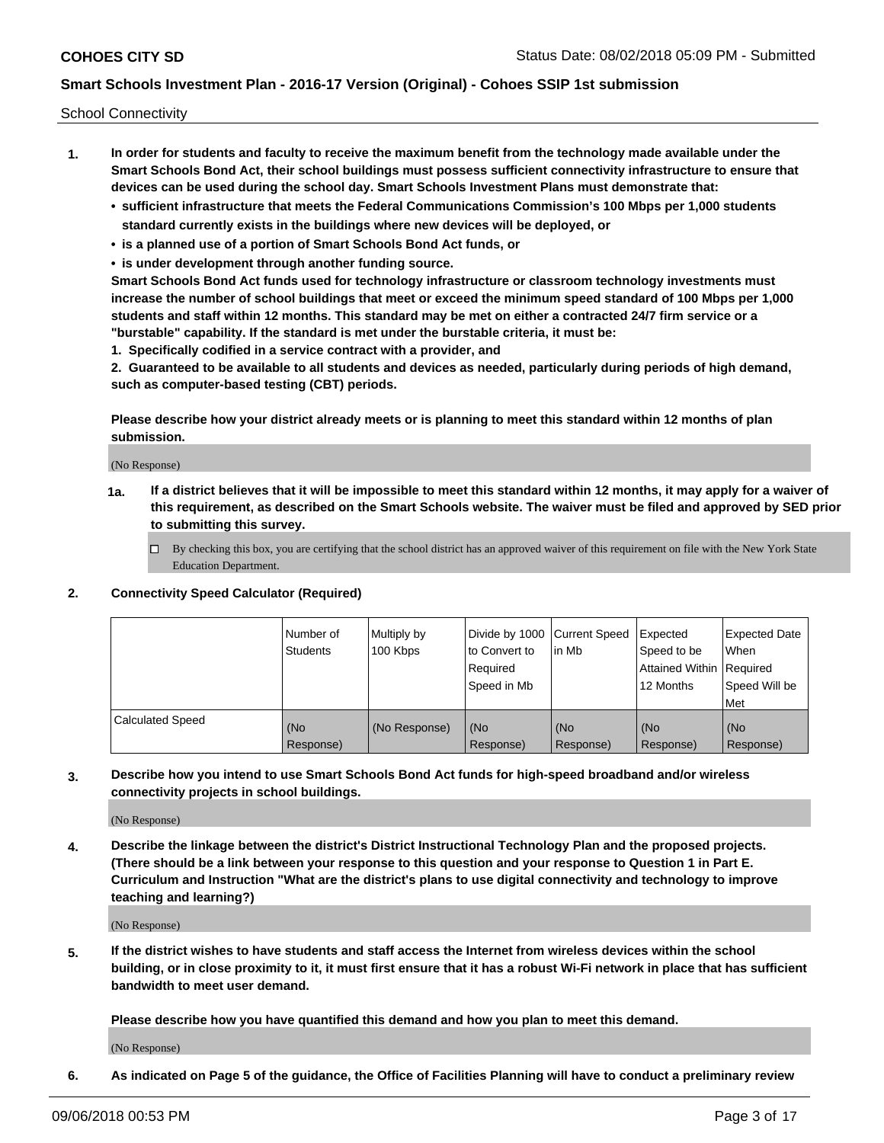School Connectivity

- **1. In order for students and faculty to receive the maximum benefit from the technology made available under the Smart Schools Bond Act, their school buildings must possess sufficient connectivity infrastructure to ensure that devices can be used during the school day. Smart Schools Investment Plans must demonstrate that:**
	- **• sufficient infrastructure that meets the Federal Communications Commission's 100 Mbps per 1,000 students standard currently exists in the buildings where new devices will be deployed, or**
	- **• is a planned use of a portion of Smart Schools Bond Act funds, or**
	- **• is under development through another funding source.**

**Smart Schools Bond Act funds used for technology infrastructure or classroom technology investments must increase the number of school buildings that meet or exceed the minimum speed standard of 100 Mbps per 1,000 students and staff within 12 months. This standard may be met on either a contracted 24/7 firm service or a "burstable" capability. If the standard is met under the burstable criteria, it must be:**

**1. Specifically codified in a service contract with a provider, and**

**2. Guaranteed to be available to all students and devices as needed, particularly during periods of high demand, such as computer-based testing (CBT) periods.**

**Please describe how your district already meets or is planning to meet this standard within 12 months of plan submission.**

(No Response)

**1a. If a district believes that it will be impossible to meet this standard within 12 months, it may apply for a waiver of this requirement, as described on the Smart Schools website. The waiver must be filed and approved by SED prior to submitting this survey.**

 $\Box$  By checking this box, you are certifying that the school district has an approved waiver of this requirement on file with the New York State Education Department.

**2. Connectivity Speed Calculator (Required)**

|                         | l Number of<br><b>Students</b> | Multiply by<br>100 Kbps | Divide by 1000 Current Speed<br>to Convert to<br>Required<br>Speed in Mb | l in Mb          | Expected<br>Speed to be<br>Attained Within   Required<br>12 Months | Expected Date<br><b>When</b><br>Speed Will be<br><b>Met</b> |
|-------------------------|--------------------------------|-------------------------|--------------------------------------------------------------------------|------------------|--------------------------------------------------------------------|-------------------------------------------------------------|
| <b>Calculated Speed</b> | (No<br>Response)               | (No Response)           | (No<br>Response)                                                         | (No<br>Response) | (No<br>Response)                                                   | (No<br>Response)                                            |

**3. Describe how you intend to use Smart Schools Bond Act funds for high-speed broadband and/or wireless connectivity projects in school buildings.**

(No Response)

**4. Describe the linkage between the district's District Instructional Technology Plan and the proposed projects. (There should be a link between your response to this question and your response to Question 1 in Part E. Curriculum and Instruction "What are the district's plans to use digital connectivity and technology to improve teaching and learning?)**

(No Response)

**5. If the district wishes to have students and staff access the Internet from wireless devices within the school building, or in close proximity to it, it must first ensure that it has a robust Wi-Fi network in place that has sufficient bandwidth to meet user demand.**

**Please describe how you have quantified this demand and how you plan to meet this demand.**

(No Response)

**6. As indicated on Page 5 of the guidance, the Office of Facilities Planning will have to conduct a preliminary review**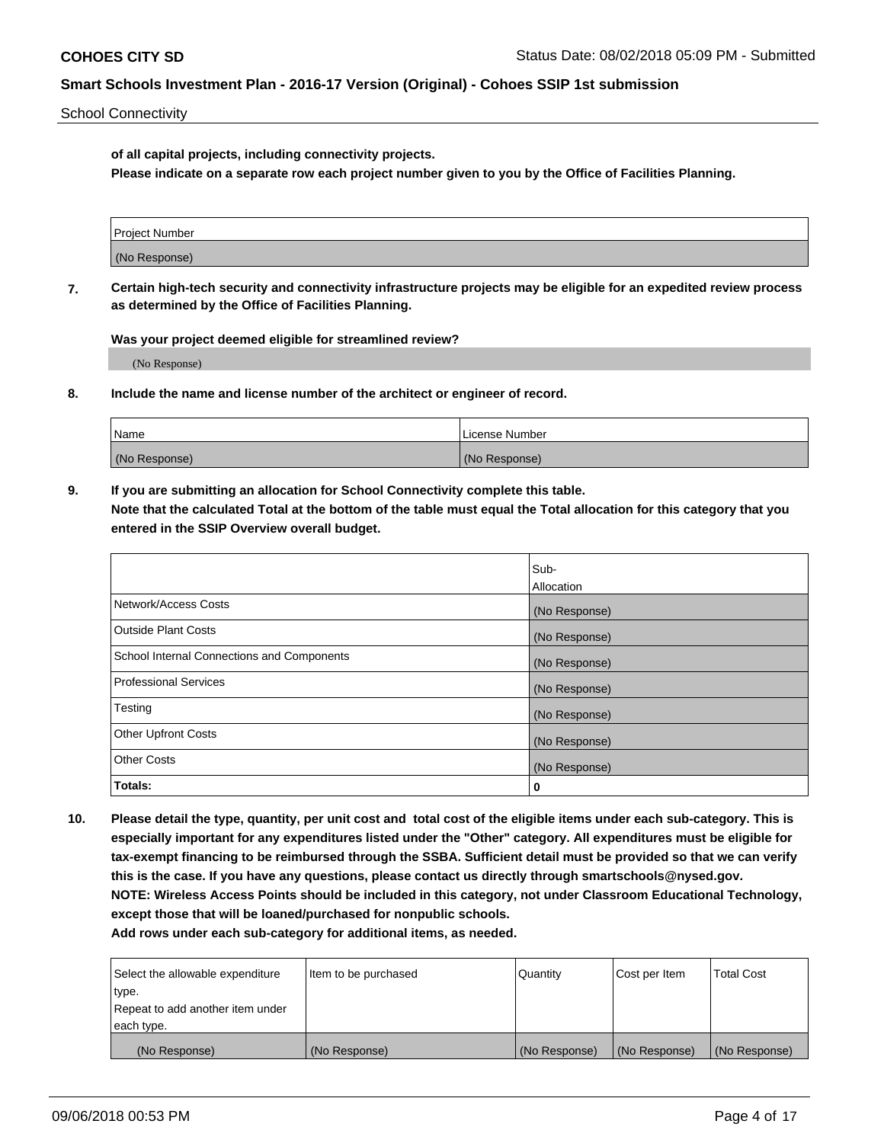School Connectivity

**of all capital projects, including connectivity projects.**

**Please indicate on a separate row each project number given to you by the Office of Facilities Planning.**

| Project Number |  |
|----------------|--|
|                |  |
|                |  |
| (No Response)  |  |
|                |  |

**7. Certain high-tech security and connectivity infrastructure projects may be eligible for an expedited review process as determined by the Office of Facilities Planning.**

**Was your project deemed eligible for streamlined review?**

(No Response)

**8. Include the name and license number of the architect or engineer of record.**

| Name          | License Number |
|---------------|----------------|
| (No Response) | (No Response)  |

**9. If you are submitting an allocation for School Connectivity complete this table. Note that the calculated Total at the bottom of the table must equal the Total allocation for this category that you entered in the SSIP Overview overall budget.** 

|                                            | Sub-              |
|--------------------------------------------|-------------------|
|                                            | <b>Allocation</b> |
| Network/Access Costs                       | (No Response)     |
| <b>Outside Plant Costs</b>                 | (No Response)     |
| School Internal Connections and Components | (No Response)     |
| <b>Professional Services</b>               | (No Response)     |
| Testing                                    | (No Response)     |
| <b>Other Upfront Costs</b>                 | (No Response)     |
| <b>Other Costs</b>                         | (No Response)     |
| Totals:                                    | 0                 |

**10. Please detail the type, quantity, per unit cost and total cost of the eligible items under each sub-category. This is especially important for any expenditures listed under the "Other" category. All expenditures must be eligible for tax-exempt financing to be reimbursed through the SSBA. Sufficient detail must be provided so that we can verify this is the case. If you have any questions, please contact us directly through smartschools@nysed.gov. NOTE: Wireless Access Points should be included in this category, not under Classroom Educational Technology, except those that will be loaned/purchased for nonpublic schools.**

| Select the allowable expenditure | Item to be purchased | Quantity      | Cost per Item | <b>Total Cost</b> |
|----------------------------------|----------------------|---------------|---------------|-------------------|
| type.                            |                      |               |               |                   |
| Repeat to add another item under |                      |               |               |                   |
| each type.                       |                      |               |               |                   |
| (No Response)                    | (No Response)        | (No Response) | (No Response) | (No Response)     |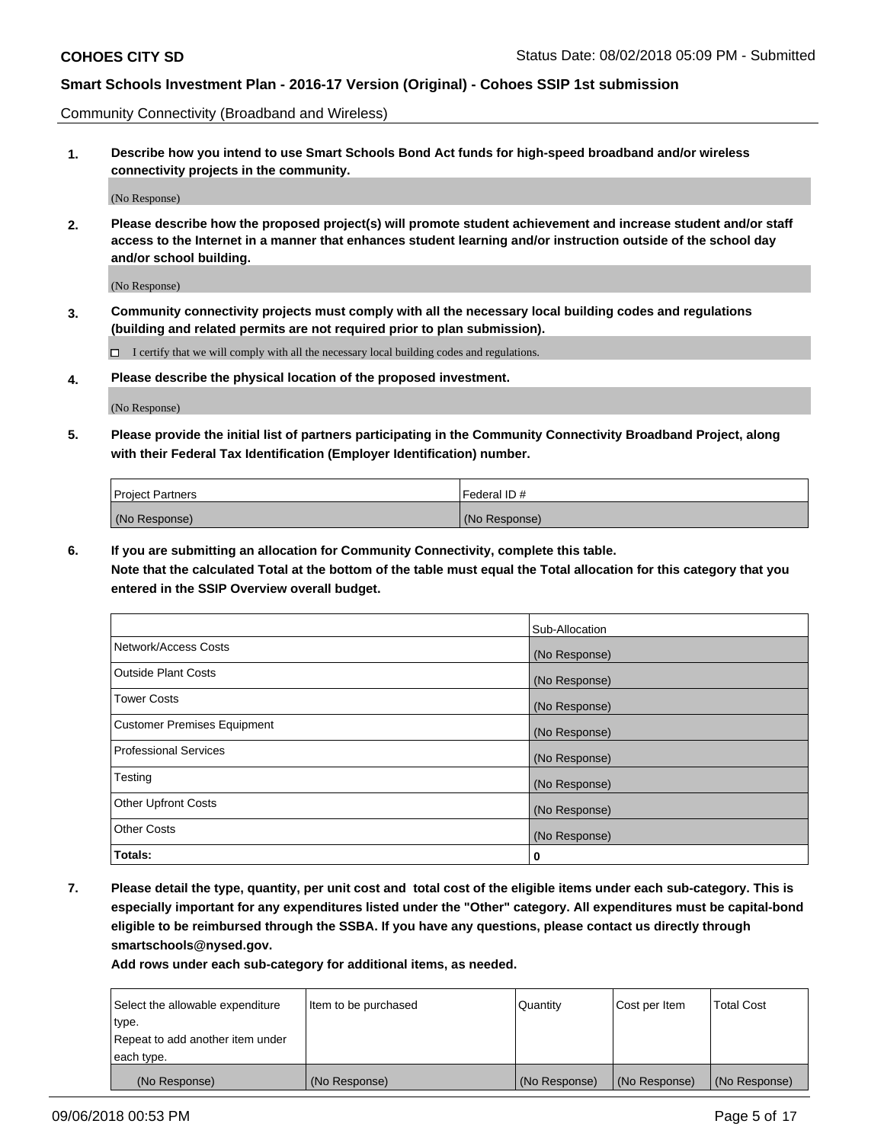Community Connectivity (Broadband and Wireless)

**1. Describe how you intend to use Smart Schools Bond Act funds for high-speed broadband and/or wireless connectivity projects in the community.**

(No Response)

**2. Please describe how the proposed project(s) will promote student achievement and increase student and/or staff access to the Internet in a manner that enhances student learning and/or instruction outside of the school day and/or school building.**

(No Response)

**3. Community connectivity projects must comply with all the necessary local building codes and regulations (building and related permits are not required prior to plan submission).**

 $\Box$  I certify that we will comply with all the necessary local building codes and regulations.

**4. Please describe the physical location of the proposed investment.**

(No Response)

**5. Please provide the initial list of partners participating in the Community Connectivity Broadband Project, along with their Federal Tax Identification (Employer Identification) number.**

| <b>Project Partners</b> | Federal ID#   |
|-------------------------|---------------|
| (No Response)           | (No Response) |

**6. If you are submitting an allocation for Community Connectivity, complete this table.**

**Note that the calculated Total at the bottom of the table must equal the Total allocation for this category that you entered in the SSIP Overview overall budget.**

|                              | Sub-Allocation |
|------------------------------|----------------|
| Network/Access Costs         | (No Response)  |
| Outside Plant Costs          | (No Response)  |
| <b>Tower Costs</b>           | (No Response)  |
| Customer Premises Equipment  | (No Response)  |
| <b>Professional Services</b> | (No Response)  |
| Testing                      | (No Response)  |
| <b>Other Upfront Costs</b>   | (No Response)  |
| <b>Other Costs</b>           | (No Response)  |
| Totals:                      | 0              |

**7. Please detail the type, quantity, per unit cost and total cost of the eligible items under each sub-category. This is especially important for any expenditures listed under the "Other" category. All expenditures must be capital-bond eligible to be reimbursed through the SSBA. If you have any questions, please contact us directly through smartschools@nysed.gov.**

| Select the allowable expenditure | Item to be purchased | Quantity      | Cost per Item | <b>Total Cost</b> |
|----------------------------------|----------------------|---------------|---------------|-------------------|
| type.                            |                      |               |               |                   |
| Repeat to add another item under |                      |               |               |                   |
| each type.                       |                      |               |               |                   |
| (No Response)                    | (No Response)        | (No Response) | (No Response) | (No Response)     |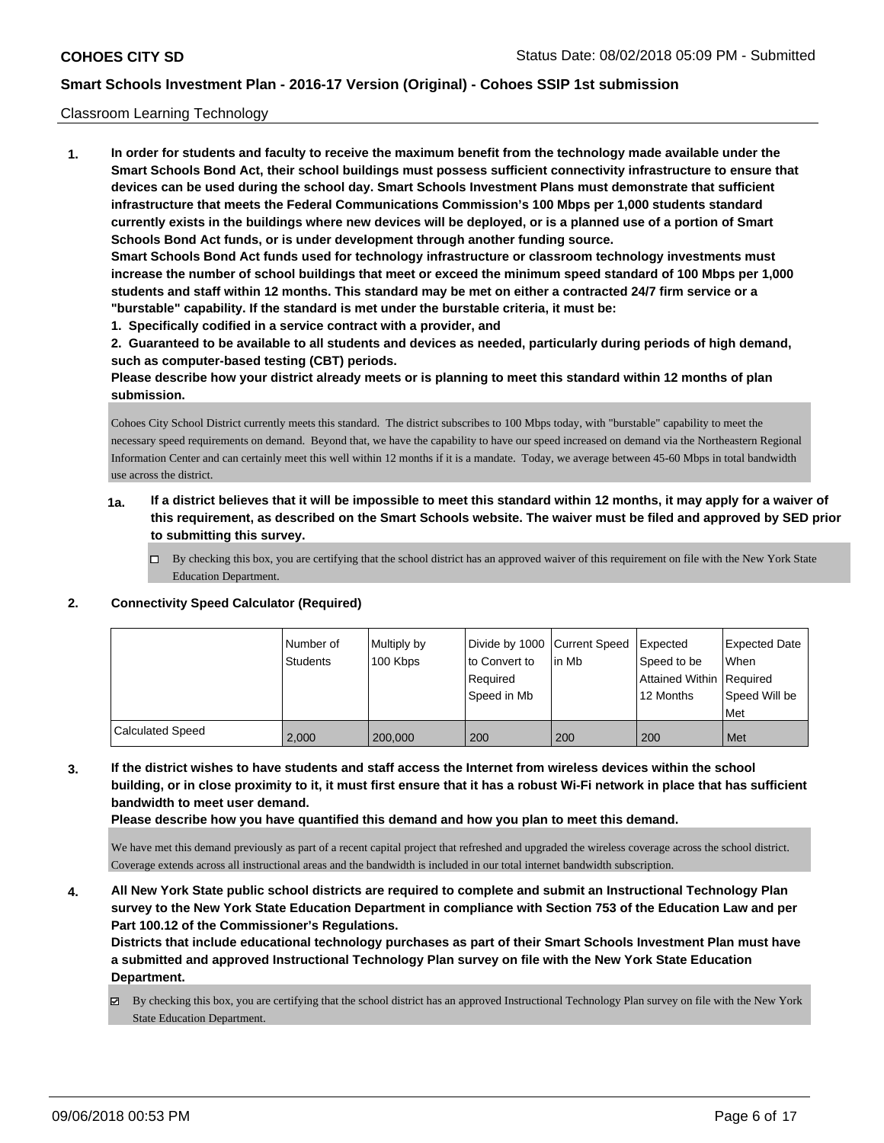#### Classroom Learning Technology

**1. In order for students and faculty to receive the maximum benefit from the technology made available under the Smart Schools Bond Act, their school buildings must possess sufficient connectivity infrastructure to ensure that devices can be used during the school day. Smart Schools Investment Plans must demonstrate that sufficient infrastructure that meets the Federal Communications Commission's 100 Mbps per 1,000 students standard currently exists in the buildings where new devices will be deployed, or is a planned use of a portion of Smart Schools Bond Act funds, or is under development through another funding source. Smart Schools Bond Act funds used for technology infrastructure or classroom technology investments must increase the number of school buildings that meet or exceed the minimum speed standard of 100 Mbps per 1,000 students and staff within 12 months. This standard may be met on either a contracted 24/7 firm service or a "burstable" capability. If the standard is met under the burstable criteria, it must be:**

**1. Specifically codified in a service contract with a provider, and**

**2. Guaranteed to be available to all students and devices as needed, particularly during periods of high demand, such as computer-based testing (CBT) periods.**

**Please describe how your district already meets or is planning to meet this standard within 12 months of plan submission.**

Cohoes City School District currently meets this standard. The district subscribes to 100 Mbps today, with "burstable" capability to meet the necessary speed requirements on demand. Beyond that, we have the capability to have our speed increased on demand via the Northeastern Regional Information Center and can certainly meet this well within 12 months if it is a mandate. Today, we average between 45-60 Mbps in total bandwidth use across the district.

- **1a. If a district believes that it will be impossible to meet this standard within 12 months, it may apply for a waiver of this requirement, as described on the Smart Schools website. The waiver must be filed and approved by SED prior to submitting this survey.**
	- By checking this box, you are certifying that the school district has an approved waiver of this requirement on file with the New York State Education Department.

#### **2. Connectivity Speed Calculator (Required)**

|                         | Number of<br><b>Students</b> | Multiply by<br>100 Kbps | Divide by 1000 Current Speed<br>to Convert to<br>l Reauired<br>Speed in Mb | lin Mb | Expected<br>Speed to be<br>Attained Within   Required<br>12 Months | <b>Expected Date</b><br>When<br>Speed Will be<br>Met |
|-------------------------|------------------------------|-------------------------|----------------------------------------------------------------------------|--------|--------------------------------------------------------------------|------------------------------------------------------|
| <b>Calculated Speed</b> | 2.000                        | 200,000                 | 200                                                                        | 200    | 200                                                                | Met                                                  |

**3. If the district wishes to have students and staff access the Internet from wireless devices within the school building, or in close proximity to it, it must first ensure that it has a robust Wi-Fi network in place that has sufficient bandwidth to meet user demand.**

**Please describe how you have quantified this demand and how you plan to meet this demand.**

We have met this demand previously as part of a recent capital project that refreshed and upgraded the wireless coverage across the school district. Coverage extends across all instructional areas and the bandwidth is included in our total internet bandwidth subscription.

**4. All New York State public school districts are required to complete and submit an Instructional Technology Plan survey to the New York State Education Department in compliance with Section 753 of the Education Law and per Part 100.12 of the Commissioner's Regulations.**

**Districts that include educational technology purchases as part of their Smart Schools Investment Plan must have a submitted and approved Instructional Technology Plan survey on file with the New York State Education Department.**

By checking this box, you are certifying that the school district has an approved Instructional Technology Plan survey on file with the New York State Education Department.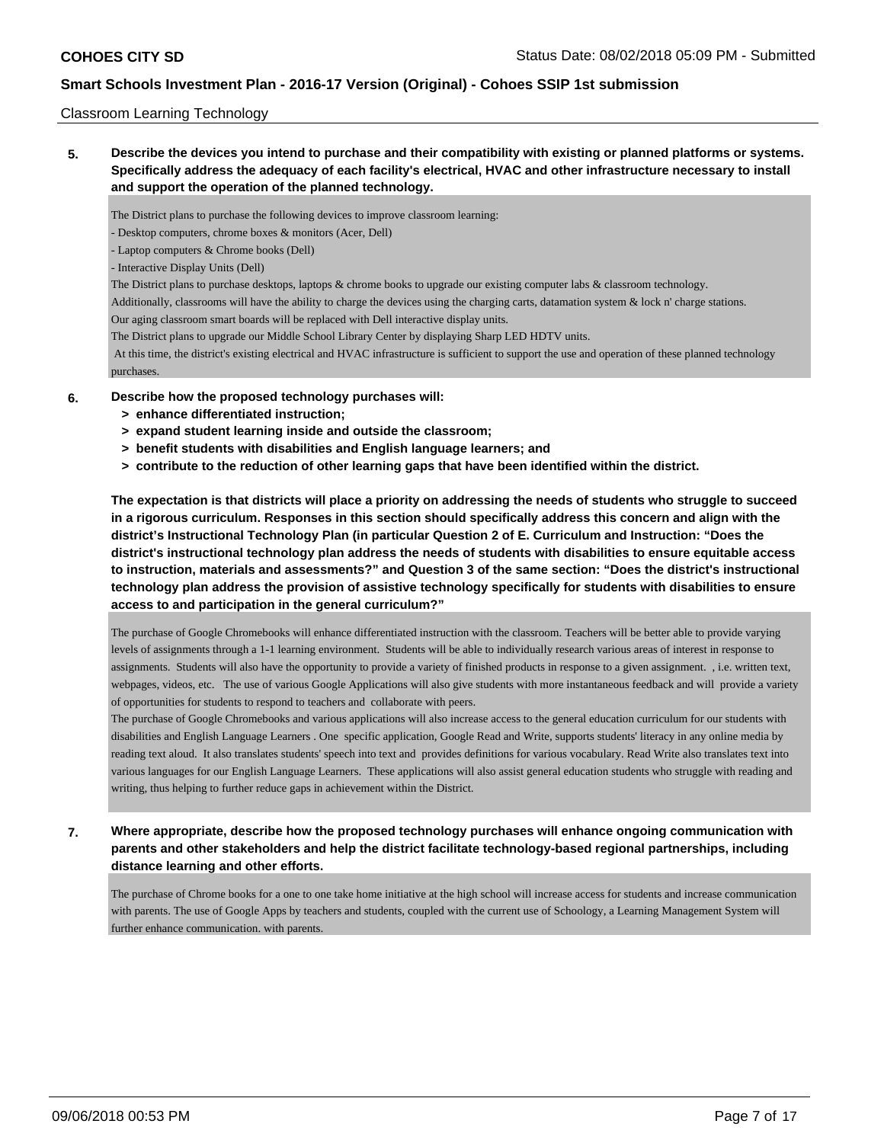#### Classroom Learning Technology

**5. Describe the devices you intend to purchase and their compatibility with existing or planned platforms or systems. Specifically address the adequacy of each facility's electrical, HVAC and other infrastructure necessary to install and support the operation of the planned technology.**

The District plans to purchase the following devices to improve classroom learning:

- Desktop computers, chrome boxes & monitors (Acer, Dell)

- Laptop computers & Chrome books (Dell)

- Interactive Display Units (Dell)

The District plans to purchase desktops, laptops & chrome books to upgrade our existing computer labs & classroom technology.

Additionally, classrooms will have the ability to charge the devices using the charging carts, datamation system & lock n' charge stations.

Our aging classroom smart boards will be replaced with Dell interactive display units.

The District plans to upgrade our Middle School Library Center by displaying Sharp LED HDTV units.

 At this time, the district's existing electrical and HVAC infrastructure is sufficient to support the use and operation of these planned technology purchases.

#### **6. Describe how the proposed technology purchases will:**

- **> enhance differentiated instruction;**
- **> expand student learning inside and outside the classroom;**
- **> benefit students with disabilities and English language learners; and**
- **> contribute to the reduction of other learning gaps that have been identified within the district.**

**The expectation is that districts will place a priority on addressing the needs of students who struggle to succeed in a rigorous curriculum. Responses in this section should specifically address this concern and align with the district's Instructional Technology Plan (in particular Question 2 of E. Curriculum and Instruction: "Does the district's instructional technology plan address the needs of students with disabilities to ensure equitable access to instruction, materials and assessments?" and Question 3 of the same section: "Does the district's instructional technology plan address the provision of assistive technology specifically for students with disabilities to ensure access to and participation in the general curriculum?"**

The purchase of Google Chromebooks will enhance differentiated instruction with the classroom. Teachers will be better able to provide varying levels of assignments through a 1-1 learning environment. Students will be able to individually research various areas of interest in response to assignments. Students will also have the opportunity to provide a variety of finished products in response to a given assignment. , i.e. written text, webpages, videos, etc. The use of various Google Applications will also give students with more instantaneous feedback and will provide a variety of opportunities for students to respond to teachers and collaborate with peers.

The purchase of Google Chromebooks and various applications will also increase access to the general education curriculum for our students with disabilities and English Language Learners . One specific application, Google Read and Write, supports students' literacy in any online media by reading text aloud. It also translates students' speech into text and provides definitions for various vocabulary. Read Write also translates text into various languages for our English Language Learners. These applications will also assist general education students who struggle with reading and writing, thus helping to further reduce gaps in achievement within the District.

**7. Where appropriate, describe how the proposed technology purchases will enhance ongoing communication with parents and other stakeholders and help the district facilitate technology-based regional partnerships, including distance learning and other efforts.**

The purchase of Chrome books for a one to one take home initiative at the high school will increase access for students and increase communication with parents. The use of Google Apps by teachers and students, coupled with the current use of Schoology, a Learning Management System will further enhance communication. with parents.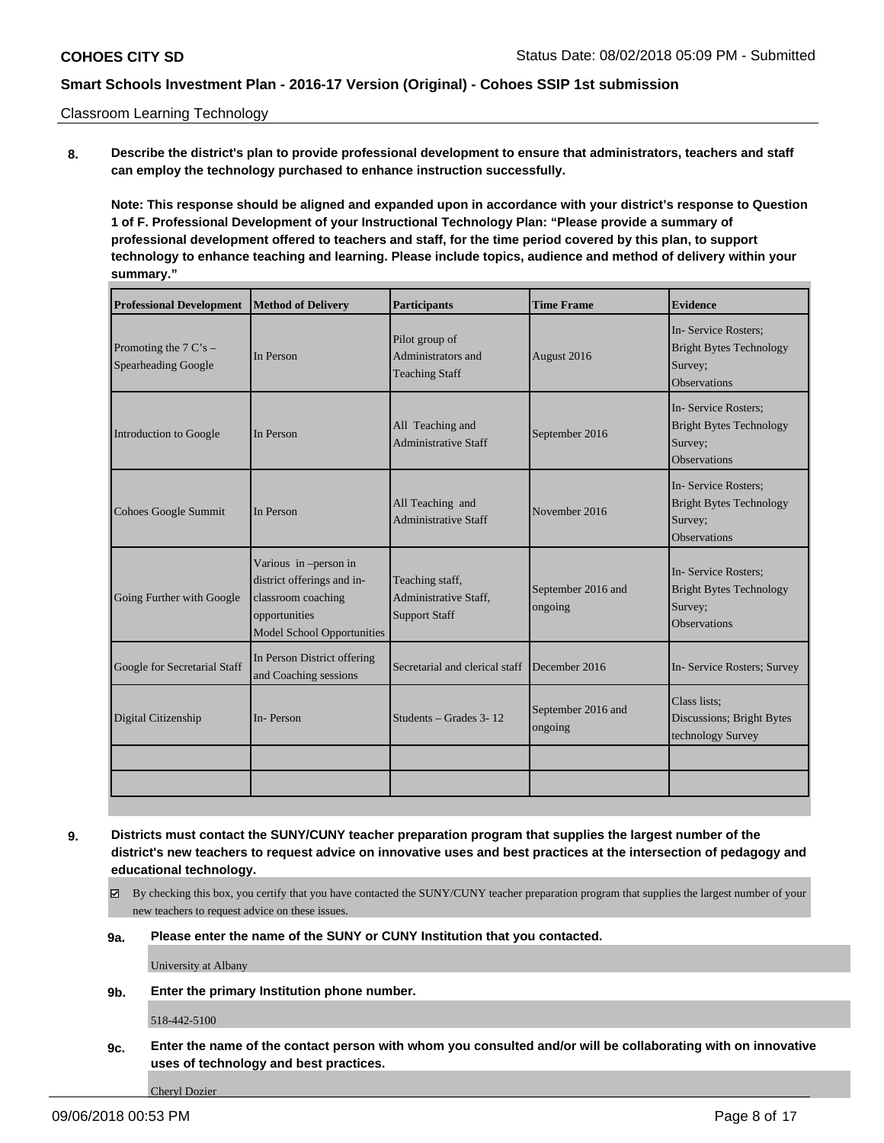Classroom Learning Technology

**8. Describe the district's plan to provide professional development to ensure that administrators, teachers and staff can employ the technology purchased to enhance instruction successfully.**

**Note: This response should be aligned and expanded upon in accordance with your district's response to Question 1 of F. Professional Development of your Instructional Technology Plan: "Please provide a summary of professional development offered to teachers and staff, for the time period covered by this plan, to support technology to enhance teaching and learning. Please include topics, audience and method of delivery within your summary."**

| <b>Professional Development</b>                        | Method of Delivery                                                                                                              | <b>Participants</b>                                                     | <b>Time Frame</b>             | <b>Evidence</b>                                                                         |
|--------------------------------------------------------|---------------------------------------------------------------------------------------------------------------------------------|-------------------------------------------------------------------------|-------------------------------|-----------------------------------------------------------------------------------------|
| Promoting the $7 \text{ C's}$ –<br>Spearheading Google | In Person                                                                                                                       | Pilot group of<br>Administrators and<br><b>Teaching Staff</b>           | August 2016                   | In-Service Rosters;<br><b>Bright Bytes Technology</b><br>Survey;<br>Observations        |
| Introduction to Google                                 | In Person                                                                                                                       | All Teaching and<br><b>Administrative Staff</b>                         | September 2016                | In-Service Rosters:<br><b>Bright Bytes Technology</b><br>Survey;<br>Observations        |
| Cohoes Google Summit                                   | In Person                                                                                                                       | All Teaching and<br><b>Administrative Staff</b>                         | November 2016                 | In-Service Rosters;<br><b>Bright Bytes Technology</b><br>Survey;<br><b>Observations</b> |
| Going Further with Google                              | Various in -person in<br>district offerings and in-<br>classroom coaching<br>opportunities<br><b>Model School Opportunities</b> | Teaching staff,<br><b>Administrative Staff,</b><br><b>Support Staff</b> | September 2016 and<br>ongoing | In-Service Rosters;<br><b>Bright Bytes Technology</b><br>Survey;<br><b>Observations</b> |
| Google for Secretarial Staff                           | In Person District offering<br>and Coaching sessions                                                                            | Secretarial and clerical staff                                          | December 2016                 | In- Service Rosters; Survey                                                             |
| Digital Citizenship                                    | In-Person                                                                                                                       | Students – Grades 3-12                                                  | September 2016 and<br>ongoing | Class lists;<br>Discussions; Bright Bytes<br>technology Survey                          |
|                                                        |                                                                                                                                 |                                                                         |                               |                                                                                         |

**9. Districts must contact the SUNY/CUNY teacher preparation program that supplies the largest number of the district's new teachers to request advice on innovative uses and best practices at the intersection of pedagogy and educational technology.**

- By checking this box, you certify that you have contacted the SUNY/CUNY teacher preparation program that supplies the largest number of your new teachers to request advice on these issues.
- **9a. Please enter the name of the SUNY or CUNY Institution that you contacted.**

University at Albany

**9b. Enter the primary Institution phone number.**

518-442-5100

**9c. Enter the name of the contact person with whom you consulted and/or will be collaborating with on innovative uses of technology and best practices.**

Cheryl Dozier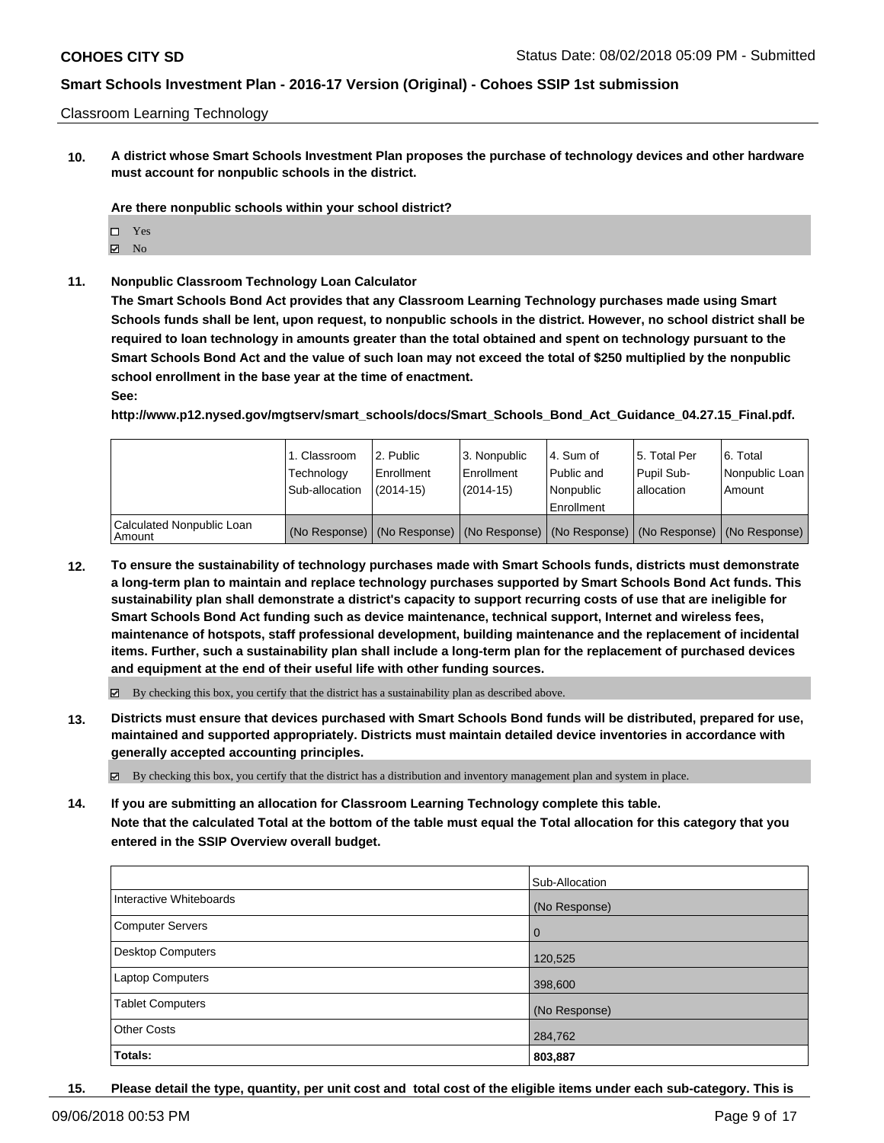#### Classroom Learning Technology

**10. A district whose Smart Schools Investment Plan proposes the purchase of technology devices and other hardware must account for nonpublic schools in the district.**

**Are there nonpublic schools within your school district?**

- Yes
- $\boxtimes$  No
- **11. Nonpublic Classroom Technology Loan Calculator**

**The Smart Schools Bond Act provides that any Classroom Learning Technology purchases made using Smart Schools funds shall be lent, upon request, to nonpublic schools in the district. However, no school district shall be required to loan technology in amounts greater than the total obtained and spent on technology pursuant to the Smart Schools Bond Act and the value of such loan may not exceed the total of \$250 multiplied by the nonpublic school enrollment in the base year at the time of enactment.**

**See:**

**http://www.p12.nysed.gov/mgtserv/smart\_schools/docs/Smart\_Schools\_Bond\_Act\_Guidance\_04.27.15\_Final.pdf.**

|                                       | 1. Classroom<br>Technology<br>Sub-allocation | l 2. Public<br>l Enrollment<br>$(2014 - 15)$ | 3. Nonpublic<br>Enrollment<br>(2014-15) | l 4. Sum of<br>Public and<br>l Nonpublic<br>Enrollment | 15. Total Per<br>Pupil Sub-<br>lallocation | 6. Total<br>Nonpublic Loan<br>Amount                                                          |
|---------------------------------------|----------------------------------------------|----------------------------------------------|-----------------------------------------|--------------------------------------------------------|--------------------------------------------|-----------------------------------------------------------------------------------------------|
| Calculated Nonpublic Loan<br>l Amount |                                              |                                              |                                         |                                                        |                                            | (No Response)   (No Response)   (No Response)   (No Response)   (No Response)   (No Response) |

**12. To ensure the sustainability of technology purchases made with Smart Schools funds, districts must demonstrate a long-term plan to maintain and replace technology purchases supported by Smart Schools Bond Act funds. This sustainability plan shall demonstrate a district's capacity to support recurring costs of use that are ineligible for Smart Schools Bond Act funding such as device maintenance, technical support, Internet and wireless fees, maintenance of hotspots, staff professional development, building maintenance and the replacement of incidental items. Further, such a sustainability plan shall include a long-term plan for the replacement of purchased devices and equipment at the end of their useful life with other funding sources.**

 $\boxtimes$  By checking this box, you certify that the district has a sustainability plan as described above.

**13. Districts must ensure that devices purchased with Smart Schools Bond funds will be distributed, prepared for use, maintained and supported appropriately. Districts must maintain detailed device inventories in accordance with generally accepted accounting principles.**

By checking this box, you certify that the district has a distribution and inventory management plan and system in place.

**14. If you are submitting an allocation for Classroom Learning Technology complete this table. Note that the calculated Total at the bottom of the table must equal the Total allocation for this category that you entered in the SSIP Overview overall budget.**

|                          | Sub-Allocation |
|--------------------------|----------------|
| Interactive Whiteboards  | (No Response)  |
| <b>Computer Servers</b>  | $\overline{0}$ |
| <b>Desktop Computers</b> | 120,525        |
| Laptop Computers         | 398,600        |
| <b>Tablet Computers</b>  | (No Response)  |
| <b>Other Costs</b>       | 284,762        |
| Totals:                  | 803,887        |

**15. Please detail the type, quantity, per unit cost and total cost of the eligible items under each sub-category. This is**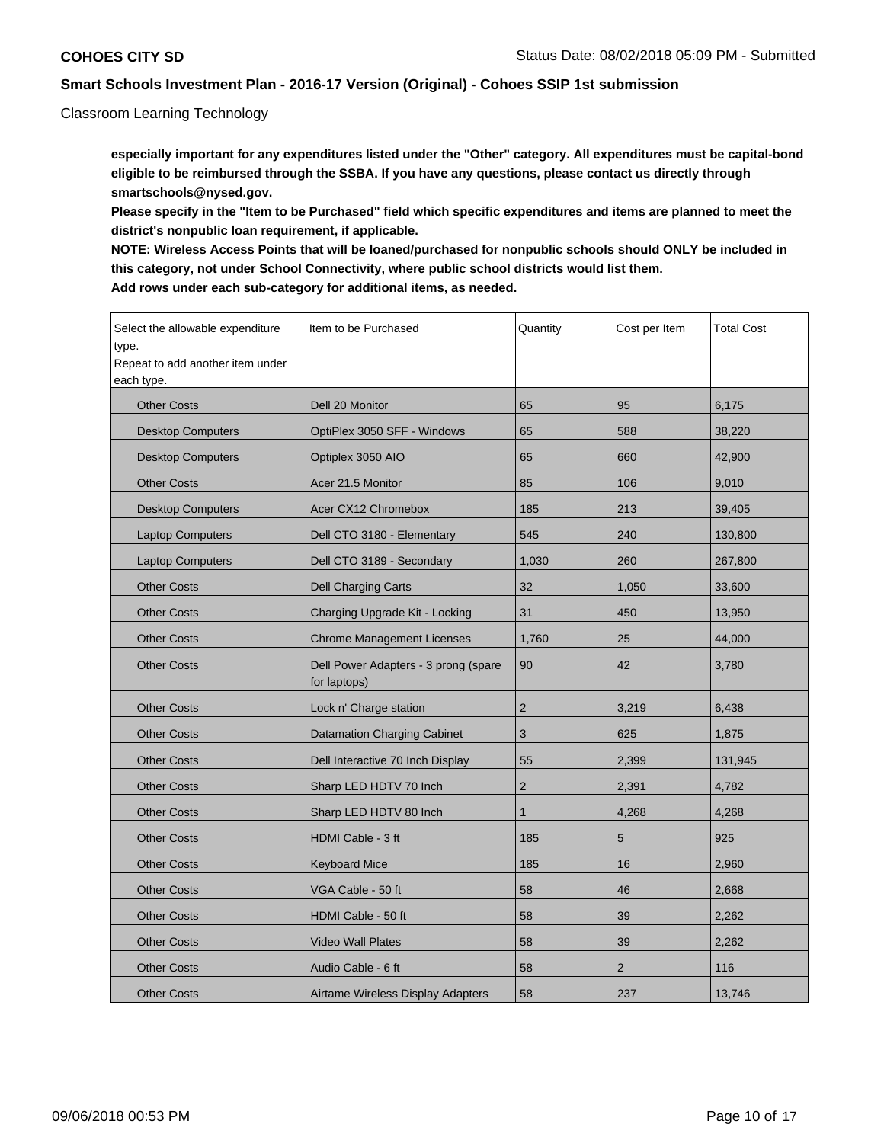### Classroom Learning Technology

**especially important for any expenditures listed under the "Other" category. All expenditures must be capital-bond eligible to be reimbursed through the SSBA. If you have any questions, please contact us directly through smartschools@nysed.gov.**

**Please specify in the "Item to be Purchased" field which specific expenditures and items are planned to meet the district's nonpublic loan requirement, if applicable.**

**NOTE: Wireless Access Points that will be loaned/purchased for nonpublic schools should ONLY be included in this category, not under School Connectivity, where public school districts would list them. Add rows under each sub-category for additional items, as needed.**

| Select the allowable expenditure<br>type.<br>Repeat to add another item under<br>each type. | Item to be Purchased                                 | Quantity       | Cost per Item  | <b>Total Cost</b> |
|---------------------------------------------------------------------------------------------|------------------------------------------------------|----------------|----------------|-------------------|
| <b>Other Costs</b>                                                                          | Dell 20 Monitor                                      | 65             | 95             | 6,175             |
| <b>Desktop Computers</b>                                                                    | OptiPlex 3050 SFF - Windows                          | 65             | 588            | 38.220            |
| <b>Desktop Computers</b>                                                                    | Optiplex 3050 AIO                                    | 65             | 660            | 42,900            |
| <b>Other Costs</b>                                                                          | Acer 21.5 Monitor                                    | 85             | 106            | 9,010             |
| <b>Desktop Computers</b>                                                                    | Acer CX12 Chromebox                                  | 185            | 213            | 39,405            |
| <b>Laptop Computers</b>                                                                     | Dell CTO 3180 - Elementary                           | 545            | 240            | 130,800           |
| <b>Laptop Computers</b>                                                                     | Dell CTO 3189 - Secondary                            | 1,030          | 260            | 267,800           |
| <b>Other Costs</b>                                                                          | <b>Dell Charging Carts</b>                           | 32             | 1,050          | 33,600            |
| <b>Other Costs</b>                                                                          | Charging Upgrade Kit - Locking                       | 31             | 450            | 13,950            |
| <b>Other Costs</b>                                                                          | <b>Chrome Management Licenses</b>                    | 1,760          | 25             | 44,000            |
| <b>Other Costs</b>                                                                          | Dell Power Adapters - 3 prong (spare<br>for laptops) | 90             | 42             | 3,780             |
| <b>Other Costs</b>                                                                          | Lock n' Charge station                               | $\overline{2}$ | 3,219          | 6,438             |
| <b>Other Costs</b>                                                                          | <b>Datamation Charging Cabinet</b>                   | 3              | 625            | 1,875             |
| <b>Other Costs</b>                                                                          | Dell Interactive 70 Inch Display                     | 55             | 2,399          | 131,945           |
| <b>Other Costs</b>                                                                          | Sharp LED HDTV 70 Inch                               | $\overline{2}$ | 2,391          | 4,782             |
| <b>Other Costs</b>                                                                          | Sharp LED HDTV 80 Inch                               | 1              | 4,268          | 4.268             |
| <b>Other Costs</b>                                                                          | HDMI Cable - 3 ft                                    | 185            | 5              | 925               |
| <b>Other Costs</b>                                                                          | <b>Keyboard Mice</b>                                 | 185            | 16             | 2,960             |
| <b>Other Costs</b>                                                                          | VGA Cable - 50 ft                                    | 58             | 46             | 2,668             |
| <b>Other Costs</b>                                                                          | HDMI Cable - 50 ft                                   | 58             | 39             | 2,262             |
| <b>Other Costs</b>                                                                          | <b>Video Wall Plates</b>                             | 58             | 39             | 2,262             |
| <b>Other Costs</b>                                                                          | Audio Cable - 6 ft                                   | 58             | $\overline{2}$ | 116               |
| <b>Other Costs</b>                                                                          | Airtame Wireless Display Adapters                    | 58             | 237            | 13,746            |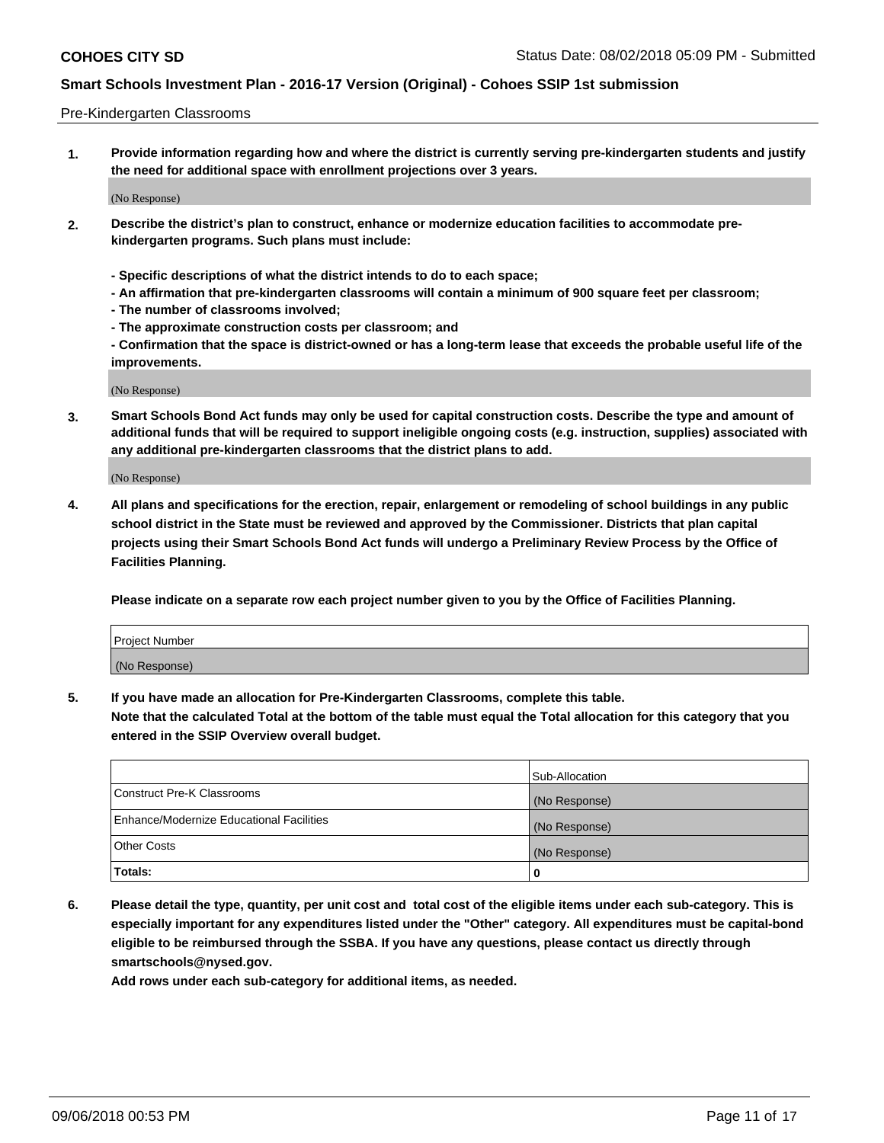#### Pre-Kindergarten Classrooms

**1. Provide information regarding how and where the district is currently serving pre-kindergarten students and justify the need for additional space with enrollment projections over 3 years.**

(No Response)

- **2. Describe the district's plan to construct, enhance or modernize education facilities to accommodate prekindergarten programs. Such plans must include:**
	- **Specific descriptions of what the district intends to do to each space;**
	- **An affirmation that pre-kindergarten classrooms will contain a minimum of 900 square feet per classroom;**
	- **The number of classrooms involved;**
	- **The approximate construction costs per classroom; and**
	- **Confirmation that the space is district-owned or has a long-term lease that exceeds the probable useful life of the improvements.**

(No Response)

**3. Smart Schools Bond Act funds may only be used for capital construction costs. Describe the type and amount of additional funds that will be required to support ineligible ongoing costs (e.g. instruction, supplies) associated with any additional pre-kindergarten classrooms that the district plans to add.**

(No Response)

**4. All plans and specifications for the erection, repair, enlargement or remodeling of school buildings in any public school district in the State must be reviewed and approved by the Commissioner. Districts that plan capital projects using their Smart Schools Bond Act funds will undergo a Preliminary Review Process by the Office of Facilities Planning.**

**Please indicate on a separate row each project number given to you by the Office of Facilities Planning.**

| Project Number |  |
|----------------|--|
| (No Response)  |  |
|                |  |

**5. If you have made an allocation for Pre-Kindergarten Classrooms, complete this table.**

**Note that the calculated Total at the bottom of the table must equal the Total allocation for this category that you entered in the SSIP Overview overall budget.**

|                                          | Sub-Allocation |
|------------------------------------------|----------------|
| Construct Pre-K Classrooms               | (No Response)  |
| Enhance/Modernize Educational Facilities | (No Response)  |
| <b>Other Costs</b>                       | (No Response)  |
| Totals:                                  | 0              |

**6. Please detail the type, quantity, per unit cost and total cost of the eligible items under each sub-category. This is especially important for any expenditures listed under the "Other" category. All expenditures must be capital-bond eligible to be reimbursed through the SSBA. If you have any questions, please contact us directly through smartschools@nysed.gov.**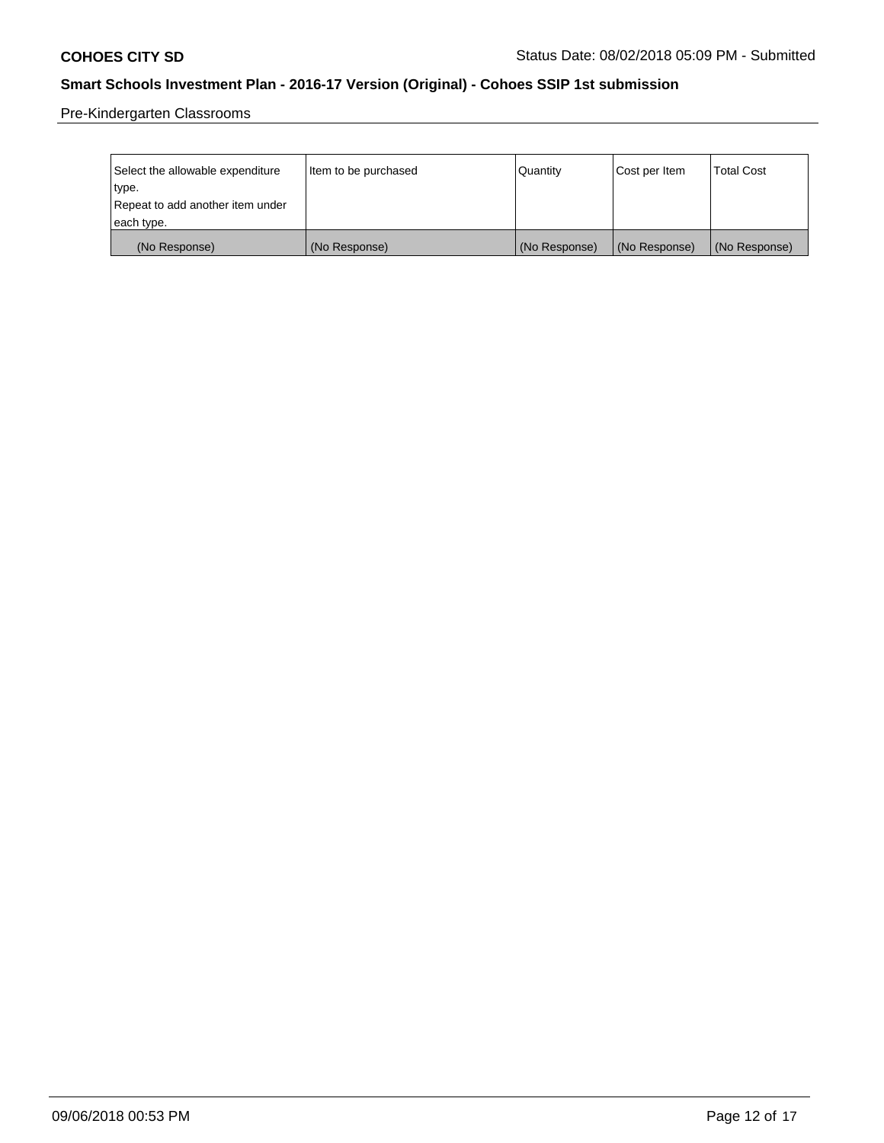Pre-Kindergarten Classrooms

| Select the allowable expenditure | Item to be purchased | Quantity      | Cost per Item | <b>Total Cost</b> |
|----------------------------------|----------------------|---------------|---------------|-------------------|
| type.                            |                      |               |               |                   |
| Repeat to add another item under |                      |               |               |                   |
| each type.                       |                      |               |               |                   |
| (No Response)                    | (No Response)        | (No Response) | (No Response) | (No Response)     |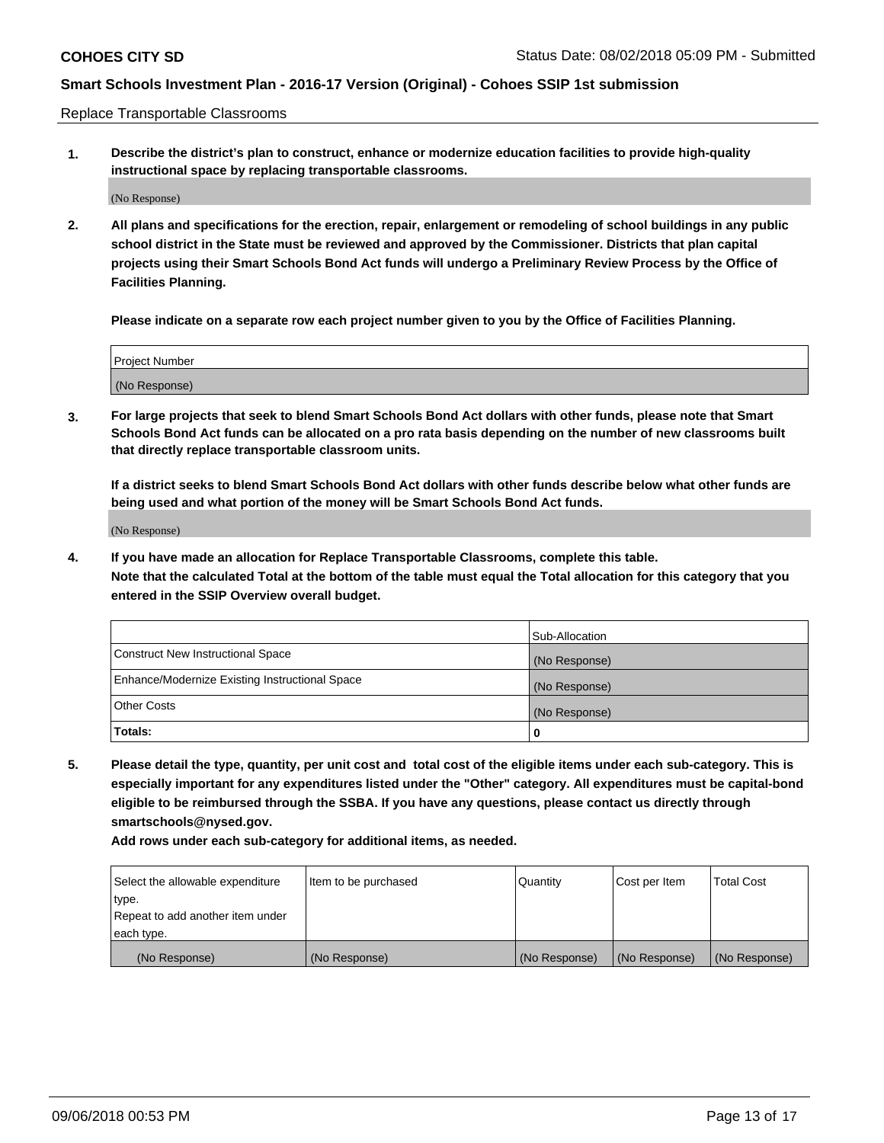Replace Transportable Classrooms

**1. Describe the district's plan to construct, enhance or modernize education facilities to provide high-quality instructional space by replacing transportable classrooms.**

(No Response)

**2. All plans and specifications for the erection, repair, enlargement or remodeling of school buildings in any public school district in the State must be reviewed and approved by the Commissioner. Districts that plan capital projects using their Smart Schools Bond Act funds will undergo a Preliminary Review Process by the Office of Facilities Planning.**

**Please indicate on a separate row each project number given to you by the Office of Facilities Planning.**

| Project Number |  |
|----------------|--|
|                |  |
| (No Response)  |  |

**3. For large projects that seek to blend Smart Schools Bond Act dollars with other funds, please note that Smart Schools Bond Act funds can be allocated on a pro rata basis depending on the number of new classrooms built that directly replace transportable classroom units.**

**If a district seeks to blend Smart Schools Bond Act dollars with other funds describe below what other funds are being used and what portion of the money will be Smart Schools Bond Act funds.**

(No Response)

**4. If you have made an allocation for Replace Transportable Classrooms, complete this table. Note that the calculated Total at the bottom of the table must equal the Total allocation for this category that you entered in the SSIP Overview overall budget.**

|                                                | Sub-Allocation |
|------------------------------------------------|----------------|
| Construct New Instructional Space              | (No Response)  |
| Enhance/Modernize Existing Instructional Space | (No Response)  |
| <b>Other Costs</b>                             | (No Response)  |
| Totals:                                        | 0              |

**5. Please detail the type, quantity, per unit cost and total cost of the eligible items under each sub-category. This is especially important for any expenditures listed under the "Other" category. All expenditures must be capital-bond eligible to be reimbursed through the SSBA. If you have any questions, please contact us directly through smartschools@nysed.gov.**

| Select the allowable expenditure | Item to be purchased | l Quantitv    | Cost per Item | <b>Total Cost</b> |
|----------------------------------|----------------------|---------------|---------------|-------------------|
| type.                            |                      |               |               |                   |
| Repeat to add another item under |                      |               |               |                   |
| each type.                       |                      |               |               |                   |
| (No Response)                    | (No Response)        | (No Response) | (No Response) | (No Response)     |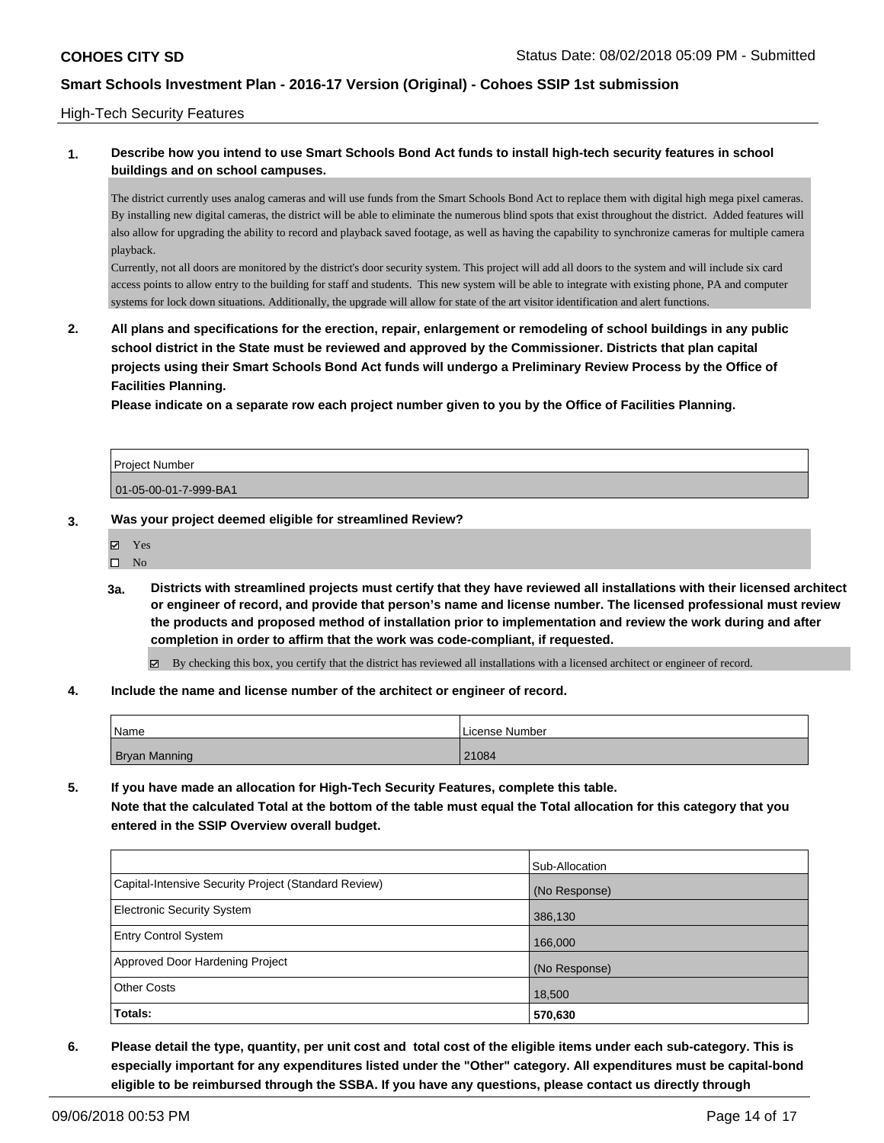#### High-Tech Security Features

### **1. Describe how you intend to use Smart Schools Bond Act funds to install high-tech security features in school buildings and on school campuses.**

The district currently uses analog cameras and will use funds from the Smart Schools Bond Act to replace them with digital high mega pixel cameras. By installing new digital cameras, the district will be able to eliminate the numerous blind spots that exist throughout the district. Added features will also allow for upgrading the ability to record and playback saved footage, as well as having the capability to synchronize cameras for multiple camera playback.

Currently, not all doors are monitored by the district's door security system. This project will add all doors to the system and will include six card access points to allow entry to the building for staff and students. This new system will be able to integrate with existing phone, PA and computer systems for lock down situations. Additionally, the upgrade will allow for state of the art visitor identification and alert functions.

**2. All plans and specifications for the erection, repair, enlargement or remodeling of school buildings in any public school district in the State must be reviewed and approved by the Commissioner. Districts that plan capital projects using their Smart Schools Bond Act funds will undergo a Preliminary Review Process by the Office of Facilities Planning.** 

**Please indicate on a separate row each project number given to you by the Office of Facilities Planning.**

| <b>Project Number</b> |  |
|-----------------------|--|
| 01-05-00-01-7-999-BA1 |  |

#### **3. Was your project deemed eligible for streamlined Review?**

- $\square$  No
- **3a. Districts with streamlined projects must certify that they have reviewed all installations with their licensed architect or engineer of record, and provide that person's name and license number. The licensed professional must review the products and proposed method of installation prior to implementation and review the work during and after completion in order to affirm that the work was code-compliant, if requested.**

By checking this box, you certify that the district has reviewed all installations with a licensed architect or engineer of record.

**4. Include the name and license number of the architect or engineer of record.**

| Name                 | l License Number |
|----------------------|------------------|
| <b>Bryan Manning</b> | 21084            |

**5. If you have made an allocation for High-Tech Security Features, complete this table. Note that the calculated Total at the bottom of the table must equal the Total allocation for this category that you entered in the SSIP Overview overall budget.**

|                                                      | Sub-Allocation |
|------------------------------------------------------|----------------|
| Capital-Intensive Security Project (Standard Review) | (No Response)  |
| <b>Electronic Security System</b>                    | 386,130        |
| Entry Control System                                 | 166,000        |
| Approved Door Hardening Project                      | (No Response)  |
| <b>Other Costs</b>                                   | 18,500         |
| Totals:                                              | 570,630        |

**6. Please detail the type, quantity, per unit cost and total cost of the eligible items under each sub-category. This is especially important for any expenditures listed under the "Other" category. All expenditures must be capital-bond eligible to be reimbursed through the SSBA. If you have any questions, please contact us directly through**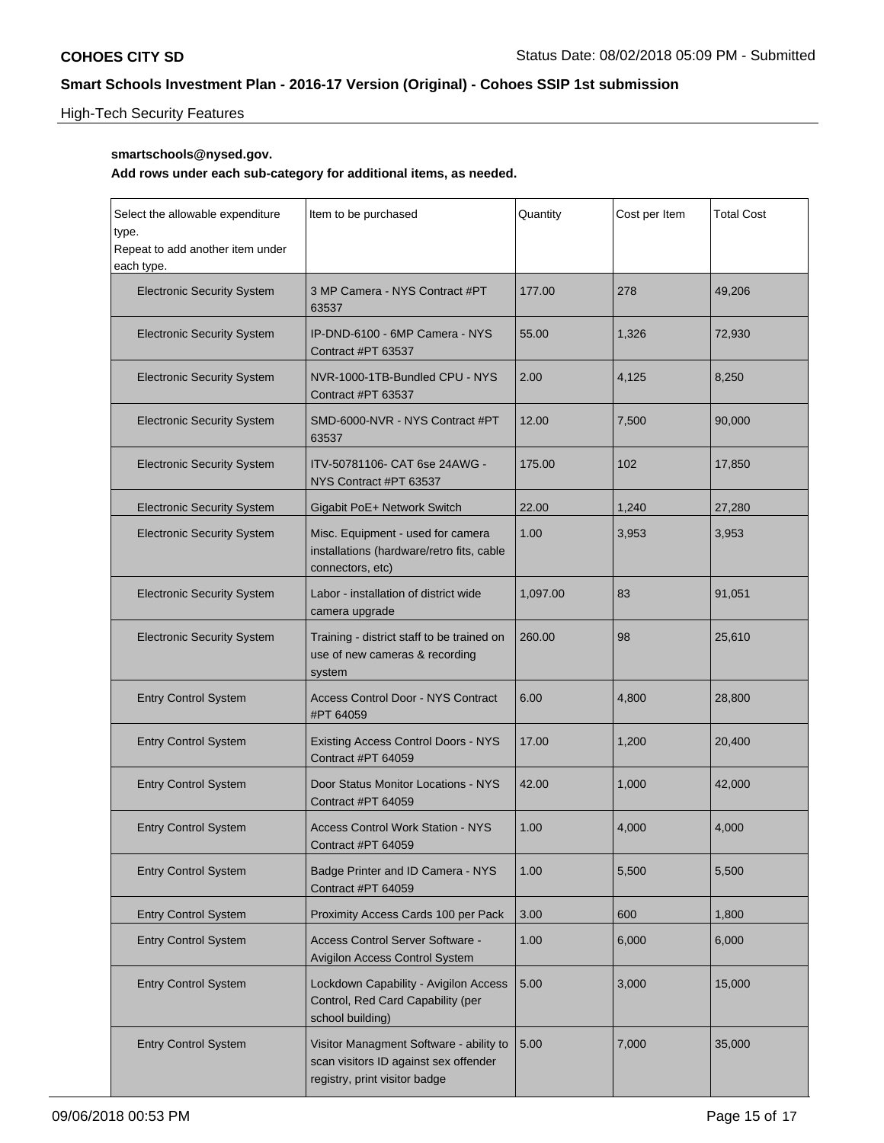# High-Tech Security Features

### **smartschools@nysed.gov.**

| Select the allowable expenditure<br>type.<br>Repeat to add another item under<br>each type. | Item to be purchased                                                                                              | Quantity | Cost per Item | <b>Total Cost</b> |
|---------------------------------------------------------------------------------------------|-------------------------------------------------------------------------------------------------------------------|----------|---------------|-------------------|
| <b>Electronic Security System</b>                                                           | 3 MP Camera - NYS Contract #PT<br>63537                                                                           | 177.00   | 278           | 49,206            |
| <b>Electronic Security System</b>                                                           | IP-DND-6100 - 6MP Camera - NYS<br>Contract #PT 63537                                                              | 55.00    | 1,326         | 72,930            |
| <b>Electronic Security System</b>                                                           | NVR-1000-1TB-Bundled CPU - NYS<br>Contract #PT 63537                                                              | 2.00     | 4,125         | 8,250             |
| <b>Electronic Security System</b>                                                           | SMD-6000-NVR - NYS Contract #PT<br>63537                                                                          | 12.00    | 7,500         | 90,000            |
| <b>Electronic Security System</b>                                                           | ITV-50781106- CAT 6se 24AWG -<br>NYS Contract #PT 63537                                                           | 175.00   | 102           | 17,850            |
| <b>Electronic Security System</b>                                                           | Gigabit PoE+ Network Switch                                                                                       | 22.00    | 1,240         | 27,280            |
| <b>Electronic Security System</b>                                                           | Misc. Equipment - used for camera<br>installations (hardware/retro fits, cable<br>connectors, etc)                | 1.00     | 3,953         | 3,953             |
| <b>Electronic Security System</b>                                                           | Labor - installation of district wide<br>camera upgrade                                                           | 1,097.00 | 83            | 91,051            |
| <b>Electronic Security System</b>                                                           | Training - district staff to be trained on<br>use of new cameras & recording<br>system                            | 260.00   | 98            | 25,610            |
| <b>Entry Control System</b>                                                                 | Access Control Door - NYS Contract<br>#PT 64059                                                                   | 6.00     | 4,800         | 28,800            |
| <b>Entry Control System</b>                                                                 | <b>Existing Access Control Doors - NYS</b><br>Contract #PT 64059                                                  | 17.00    | 1,200         | 20,400            |
| <b>Entry Control System</b>                                                                 | Door Status Monitor Locations - NYS<br>Contract #PT 64059                                                         | 42.00    | 1,000         | 42,000            |
| <b>Entry Control System</b>                                                                 | <b>Access Control Work Station - NYS</b><br>Contract #PT 64059                                                    | 1.00     | 4,000         | 4,000             |
| <b>Entry Control System</b>                                                                 | Badge Printer and ID Camera - NYS<br>Contract #PT 64059                                                           | 1.00     | 5,500         | 5,500             |
| <b>Entry Control System</b>                                                                 | Proximity Access Cards 100 per Pack                                                                               | 3.00     | 600           | 1,800             |
| <b>Entry Control System</b>                                                                 | <b>Access Control Server Software -</b><br>Avigilon Access Control System                                         | 1.00     | 6,000         | 6,000             |
| <b>Entry Control System</b>                                                                 | Lockdown Capability - Avigilon Access<br>Control, Red Card Capability (per<br>school building)                    | 5.00     | 3,000         | 15,000            |
| <b>Entry Control System</b>                                                                 | Visitor Managment Software - ability to<br>scan visitors ID against sex offender<br>registry, print visitor badge | 5.00     | 7,000         | 35,000            |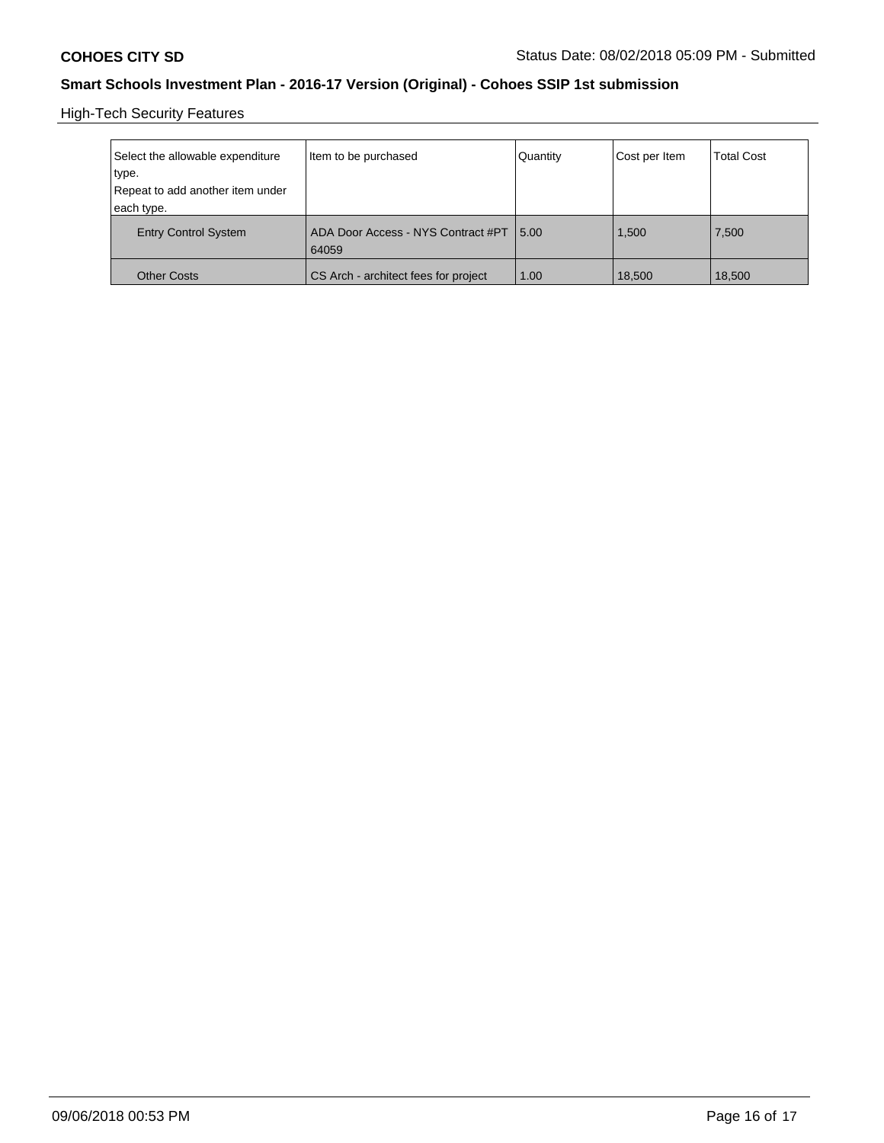High-Tech Security Features

| Select the allowable expenditure<br>type.<br>Repeat to add another item under | Item to be purchased                        | Quantity | Cost per Item | <b>Total Cost</b> |
|-------------------------------------------------------------------------------|---------------------------------------------|----------|---------------|-------------------|
| each type.                                                                    |                                             |          |               |                   |
| <b>Entry Control System</b>                                                   | ADA Door Access - NYS Contract #PT<br>64059 | 15.00    | 1,500         | 7,500             |
| <b>Other Costs</b>                                                            | CS Arch - architect fees for project        | 1.00     | 18,500        | 18,500            |